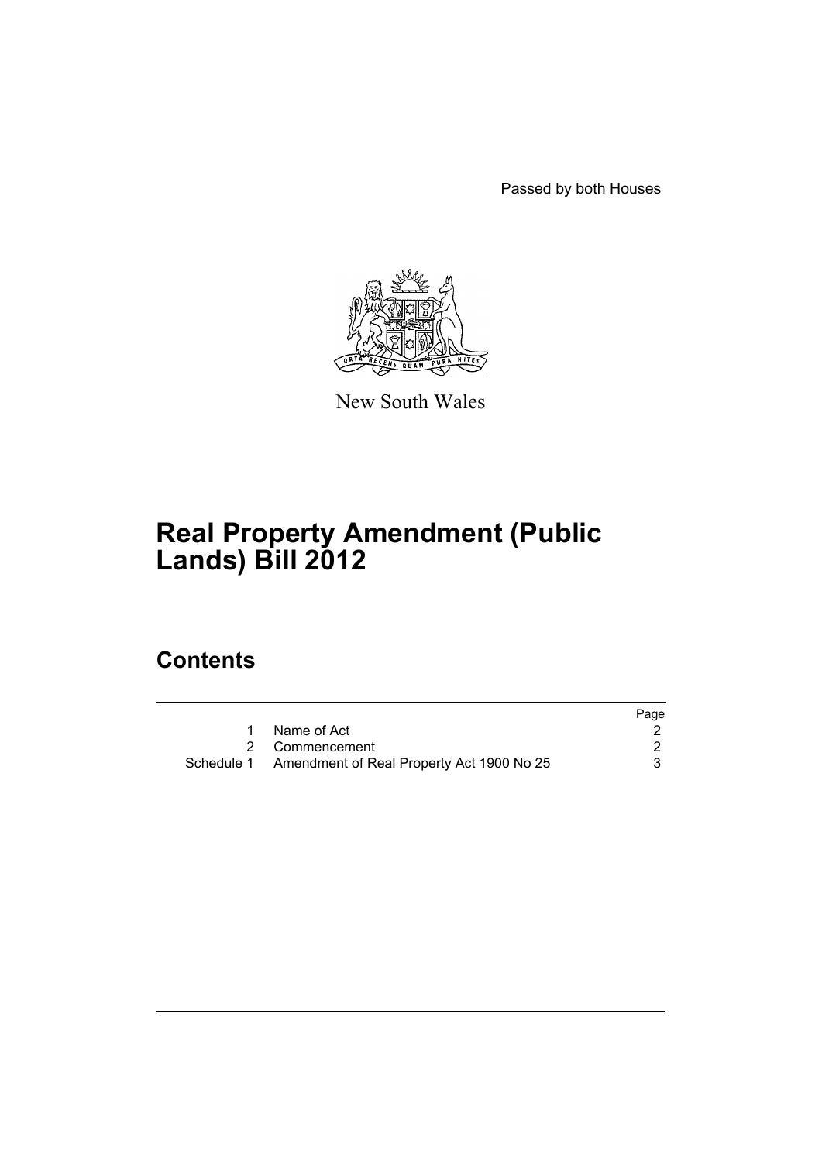Passed by both Houses



New South Wales

# **Real Property Amendment (Public Lands) Bill 2012**

### **Contents**

|                                                      | Page |
|------------------------------------------------------|------|
| 1 Name of Act                                        |      |
| 2 Commencement                                       |      |
| Schedule 1 Amendment of Real Property Act 1900 No 25 |      |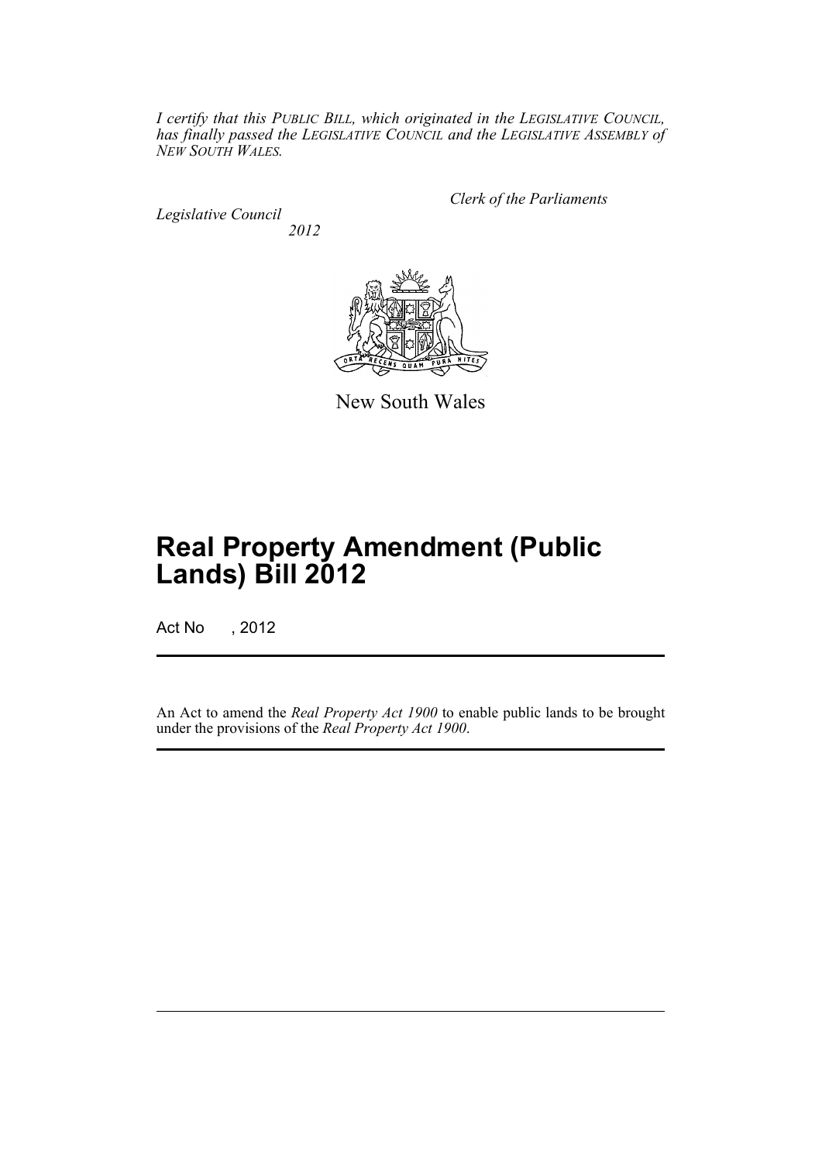*I certify that this PUBLIC BILL, which originated in the LEGISLATIVE COUNCIL, has finally passed the LEGISLATIVE COUNCIL and the LEGISLATIVE ASSEMBLY of NEW SOUTH WALES.*

*Legislative Council 2012* *Clerk of the Parliaments*



New South Wales

## **Real Property Amendment (Public Lands) Bill 2012**

Act No , 2012

An Act to amend the *Real Property Act 1900* to enable public lands to be brought under the provisions of the *Real Property Act 1900*.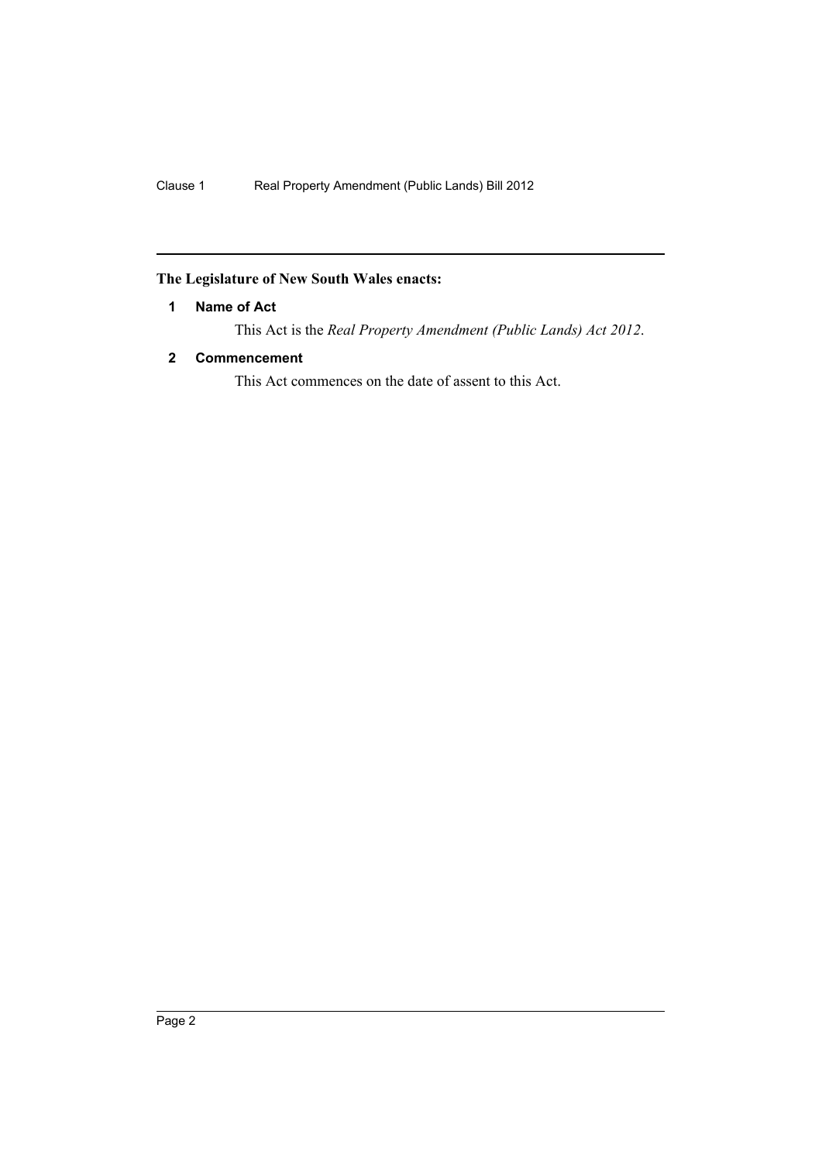#### <span id="page-3-0"></span>**The Legislature of New South Wales enacts:**

#### **1 Name of Act**

This Act is the *Real Property Amendment (Public Lands) Act 2012*.

#### <span id="page-3-1"></span>**2 Commencement**

This Act commences on the date of assent to this Act.